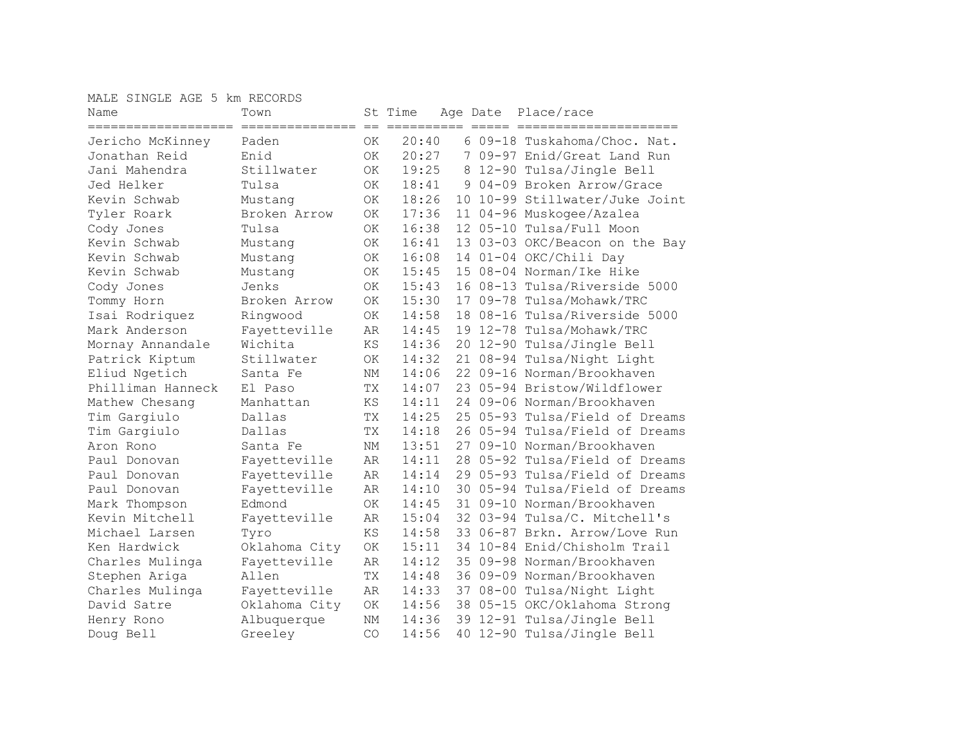MALE SINGLE AGE 5 km RECORDS

| Name<br>==================== | Town          |           | St Time |  | Age Date Place/race            |
|------------------------------|---------------|-----------|---------|--|--------------------------------|
| Jericho McKinney             | Paden         | OK.       | 20:40   |  | 6 09-18 Tuskahoma/Choc. Nat.   |
| Jonathan Reid                | Enid          | OK.       | 20:27   |  | 7 09-97 Enid/Great Land Run    |
| Jani Mahendra                | Stillwater    | 0K        | 19:25   |  | 8 12-90 Tulsa/Jingle Bell      |
| Jed Helker                   | Tulsa         | 0K        | 18:41   |  | 9 04-09 Broken Arrow/Grace     |
| Kevin Schwab                 | Mustang       | ОK        | 18:26   |  | 10 10-99 Stillwater/Juke Joint |
| Tyler Roark                  | Broken Arrow  | ОK        | 17:36   |  | 11 04-96 Muskogee/Azalea       |
| Cody Jones                   | Tulsa         | <b>OK</b> | 16:38   |  | 12 05-10 Tulsa/Full Moon       |
| Kevin Schwab                 | Mustang       | ОK        | 16:41   |  | 13 03-03 OKC/Beacon on the Bay |
| Kevin Schwab                 | Mustang       | OK        | 16:08   |  | 14 01-04 OKC/Chili Day         |
| Kevin Schwab                 | Mustang       | OK        | 15:45   |  | 15 08-04 Norman/Ike Hike       |
| Cody Jones                   | Jenks         | <b>OK</b> | 15:43   |  | 16 08-13 Tulsa/Riverside 5000  |
| Tommy Horn                   | Broken Arrow  | <b>OK</b> | 15:30   |  | 17 09-78 Tulsa/Mohawk/TRC      |
| Isai Rodriquez               | Ringwood      | ОK        | 14:58   |  | 18 08-16 Tulsa/Riverside 5000  |
| Mark Anderson                | Fayetteville  | AR        | 14:45   |  | 19 12-78 Tulsa/Mohawk/TRC      |
| Mornay Annandale             | Wichita       | ΚS        | 14:36   |  | 20 12-90 Tulsa/Jingle Bell     |
| Patrick Kiptum               | Stillwater    | OK        | 14:32   |  | 21 08-94 Tulsa/Night Light     |
| Eliud Ngetich                | Santa Fe      | NM        | 14:06   |  | 22 09-16 Norman/Brookhaven     |
| Philliman Hanneck            | El Paso       | TX        | 14:07   |  | 23 05-94 Bristow/Wildflower    |
| Mathew Chesang               | Manhattan     | KS        | 14:11   |  | 24 09-06 Norman/Brookhaven     |
| Tim Gargiulo                 | Dallas        | TX        | 14:25   |  | 25 05-93 Tulsa/Field of Dreams |
| Tim Gargiulo                 | Dallas        | <b>TX</b> | 14:18   |  | 26 05-94 Tulsa/Field of Dreams |
| Aron Rono                    | Santa Fe      | NM        | 13:51   |  | 27 09-10 Norman/Brookhaven     |
| Paul Donovan                 | Fayetteville  | AR        | 14:11   |  | 28 05-92 Tulsa/Field of Dreams |
| Paul Donovan                 | Fayetteville  | AR        | 14:14   |  | 29 05-93 Tulsa/Field of Dreams |
| Paul Donovan                 | Fayetteville  | AR        | 14:10   |  | 30 05-94 Tulsa/Field of Dreams |
| Mark Thompson                | Edmond        | <b>OK</b> | 14:45   |  | 31 09-10 Norman/Brookhaven     |
| Kevin Mitchell               | Fayetteville  | AR        | 15:04   |  | 32 03-94 Tulsa/C. Mitchell's   |
| Michael Larsen               | Tyro          | ΚS        | 14:58   |  | 33 06-87 Brkn. Arrow/Love Run  |
| Ken Hardwick                 | Oklahoma City | ОK        | 15:11   |  | 34 10-84 Enid/Chisholm Trail   |
| Charles Mulinga              | Fayetteville  | AR        | 14:12   |  | 35 09-98 Norman/Brookhaven     |
| Stephen Ariga                | Allen         | TX        | 14:48   |  | 36 09-09 Norman/Brookhaven     |
| Charles Mulinga              | Fayetteville  | AR        | 14:33   |  | 37 08-00 Tulsa/Night Light     |
| David Satre                  | Oklahoma City | ΟK        | 14:56   |  | 38 05-15 OKC/Oklahoma Strong   |
| Henry Rono                   | Albuquerque   | NΜ        | 14:36   |  | 39 12-91 Tulsa/Jingle Bell     |
| Doug Bell                    | Greeley       | CO        | 14:56   |  | 40 12-90 Tulsa/Jingle Bell     |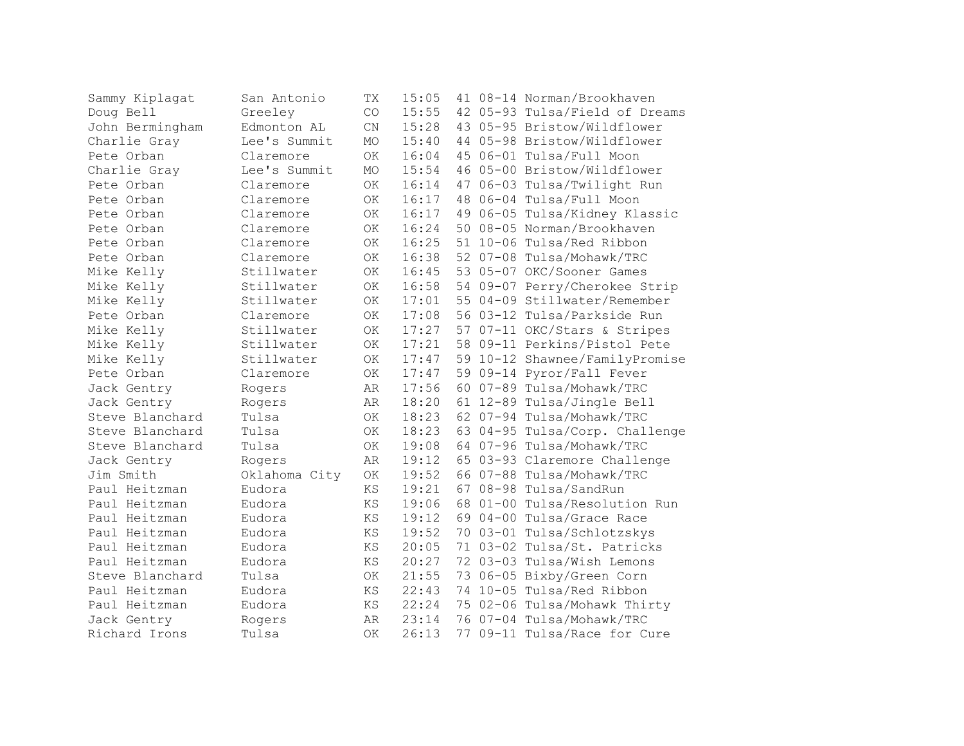| Sammy Kiplagat  | San Antonio   | TX                     | 15:05 |  | 41 08-14 Norman/Brookhaven     |
|-----------------|---------------|------------------------|-------|--|--------------------------------|
| Doug Bell       | Greeley       | CO                     | 15:55 |  | 42 05-93 Tulsa/Field of Dreams |
| John Bermingham | Edmonton AL   | $\mathrm{CN}$          | 15:28 |  | 43 05-95 Bristow/Wildflower    |
| Charlie Gray    | Lee's Summit  | MO                     | 15:40 |  | 44 05-98 Bristow/Wildflower    |
| Pete Orban      | Claremore     | <b>OK</b>              | 16:04 |  | 45 06-01 Tulsa/Full Moon       |
| Charlie Gray    | Lee's Summit  | <b>MO</b>              | 15:54 |  | 46 05-00 Bristow/Wildflower    |
| Pete Orban      | Claremore     | OK                     | 16:14 |  | 47 06-03 Tulsa/Twilight Run    |
| Pete Orban      | Claremore     | OK                     | 16:17 |  | 48 06-04 Tulsa/Full Moon       |
| Pete Orban      | Claremore     | OK                     | 16:17 |  | 49 06-05 Tulsa/Kidney Klassic  |
| Pete Orban      | Claremore     | OK                     | 16:24 |  | 50 08-05 Norman/Brookhaven     |
| Pete Orban      | Claremore     | OK                     | 16:25 |  | 51 10-06 Tulsa/Red Ribbon      |
| Pete Orban      | Claremore     | OK                     | 16:38 |  | 52 07-08 Tulsa/Mohawk/TRC      |
| Mike Kelly      | Stillwater    | OK                     | 16:45 |  | 53 05-07 OKC/Sooner Games      |
| Mike Kelly      | Stillwater    | OK                     | 16:58 |  | 54 09-07 Perry/Cherokee Strip  |
| Mike Kelly      | Stillwater    | ΟK                     | 17:01 |  | 55 04-09 Stillwater/Remember   |
| Pete Orban      | Claremore     | ОK                     | 17:08 |  | 56 03-12 Tulsa/Parkside Run    |
| Mike Kelly      | Stillwater    | 0K                     | 17:27 |  | 57 07-11 OKC/Stars & Stripes   |
| Mike Kelly      | Stillwater    | ОK                     | 17:21 |  | 58 09-11 Perkins/Pistol Pete   |
| Mike Kelly      | Stillwater    | 0K                     | 17:47 |  | 59 10-12 Shawnee/FamilyPromise |
| Pete Orban      | Claremore     | ОK                     | 17:47 |  | 59 09-14 Pyror/Fall Fever      |
| Jack Gentry     | Rogers        | AR                     | 17:56 |  | 60 07-89 Tulsa/Mohawk/TRC      |
| Jack Gentry     | Rogers        | AR                     | 18:20 |  | 61 12-89 Tulsa/Jingle Bell     |
| Steve Blanchard | Tulsa         | OK                     | 18:23 |  | 62 07-94 Tulsa/Mohawk/TRC      |
| Steve Blanchard | Tulsa         | ОK                     | 18:23 |  | 63 04-95 Tulsa/Corp. Challenge |
| Steve Blanchard | Tulsa         | 0K                     | 19:08 |  | 64 07-96 Tulsa/Mohawk/TRC      |
| Jack Gentry     | Rogers        | AR                     | 19:12 |  | 65 03-93 Claremore Challenge   |
| Jim Smith       | Oklahoma City | OK                     | 19:52 |  | 66 07-88 Tulsa/Mohawk/TRC      |
| Paul Heitzman   | Eudora        | ΚS                     | 19:21 |  | 67 08-98 Tulsa/SandRun         |
| Paul Heitzman   | Eudora        | <b>KS</b>              | 19:06 |  | 68 01-00 Tulsa/Resolution Run  |
| Paul Heitzman   | Eudora        | KS                     | 19:12 |  | 69 04-00 Tulsa/Grace Race      |
| Paul Heitzman   | Eudora        | $\mathop{\mathrm{KS}}$ | 19:52 |  | 70 03-01 Tulsa/Schlotzskys     |
| Paul Heitzman   | Eudora        | ΚS                     | 20:05 |  | 71 03-02 Tulsa/St. Patricks    |
| Paul Heitzman   | Eudora        | <b>KS</b>              | 20:27 |  | 72 03-03 Tulsa/Wish Lemons     |
| Steve Blanchard | Tulsa         | <b>OK</b>              | 21:55 |  | 73 06-05 Bixby/Green Corn      |
| Paul Heitzman   | Eudora        | ΚS                     | 22:43 |  | 74 10-05 Tulsa/Red Ribbon      |
| Paul Heitzman   | Eudora        | ΚS                     | 22:24 |  | 75 02-06 Tulsa/Mohawk Thirty   |
| Jack Gentry     | Rogers        | AR                     | 23:14 |  | 76 07-04 Tulsa/Mohawk/TRC      |
| Richard Irons   | Tulsa         | OK                     | 26:13 |  | 77 09-11 Tulsa/Race for Cure   |